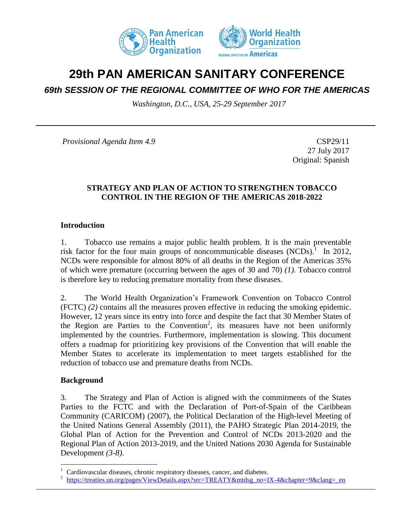



# **29th PAN AMERICAN SANITARY CONFERENCE**

# *69th SESSION OF THE REGIONAL COMMITTEE OF WHO FOR THE AMERICAS*

*Washington, D.C., USA, 25-29 September 2017*

*Provisional Agenda Item 4.9* CSP29/11

27 July 2017 Original: Spanish

### **STRATEGY AND PLAN OF ACTION TO STRENGTHEN TOBACCO CONTROL IN THE REGION OF THE AMERICAS 2018-2022**

#### **Introduction**

1. Tobacco use remains a major public health problem. It is the main preventable risk factor for the four main groups of noncommunicable diseases  $(NCDs)$ .<sup>1</sup> In 2012, NCDs were responsible for almost 80% of all deaths in the Region of the Americas 35% of which were premature (occurring between the ages of 30 and 70) *(1).* Tobacco control is therefore key to reducing premature mortality from these diseases.

2. The World Health Organization's Framework Convention on Tobacco Control (FCTC) *(2)* contains all the measures proven effective in reducing the smoking epidemic. However, 12 years since its entry into force and despite the fact that 30 Member States of the Region are Parties to the Convention<sup>2</sup>, its measures have not been uniformly implemented by the countries. Furthermore, implementation is slowing. This document offers a roadmap for prioritizing key provisions of the Convention that will enable the Member States to accelerate its implementation to meet targets established for the reduction of tobacco use and premature deaths from NCDs.

#### **Background**

 $\overline{a}$ 

3. The Strategy and Plan of Action is aligned with the commitments of the States Parties to the FCTC and with the Declaration of Port-of-Spain of the Caribbean Community (CARICOM) (2007), the Political Declaration of the High-level Meeting of the United Nations General Assembly (2011), the PAHO Strategic Plan 2014-2019, the Global Plan of Action for the Prevention and Control of NCDs 2013-2020 and the Regional Plan of Action 2013-2019, and the United Nations 2030 Agenda for Sustainable Development *(3-8)*.

<sup>1</sup> Cardiovascular diseases, chronic respiratory diseases, cancer, and diabetes.

<sup>2</sup> [https://treaties.un.org/pages/ViewDetails.aspx?src=TREATY&mtdsg\\_no=IX-4&chapter=9&clang=\\_en](https://treaties.un.org/pages/ViewDetails.aspx?src=TREATY&mtdsg_no=IX-4&chapter=9&clang=_en)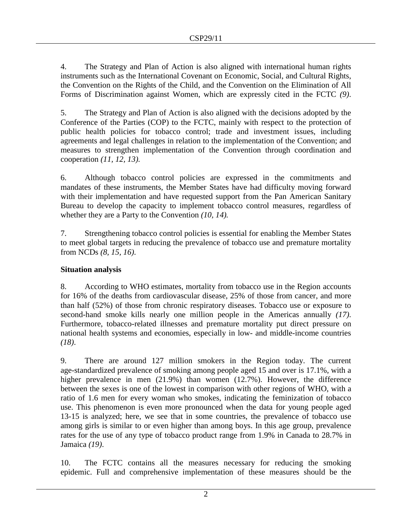4. The Strategy and Plan of Action is also aligned with international human rights instruments such as the International Covenant on Economic, Social, and Cultural Rights, the Convention on the Rights of the Child, and the Convention on the Elimination of All Forms of Discrimination against Women, which are expressly cited in the FCTC *(9)*.

5. The Strategy and Plan of Action is also aligned with the decisions adopted by the Conference of the Parties (COP) to the FCTC, mainly with respect to the protection of public health policies for tobacco control; trade and investment issues, including agreements and legal challenges in relation to the implementation of the Convention; and measures to strengthen implementation of the Convention through coordination and cooperation *(11, 12, 13).*

6. Although tobacco control policies are expressed in the commitments and mandates of these instruments, the Member States have had difficulty moving forward with their implementation and have requested support from the Pan American Sanitary Bureau to develop the capacity to implement tobacco control measures, regardless of whether they are a Party to the Convention *(10, 14).* 

7. Strengthening tobacco control policies is essential for enabling the Member States to meet global targets in reducing the prevalence of tobacco use and premature mortality from NCDs *(8, 15, 16)*.

# **Situation analysis**

8. According to WHO estimates, mortality from tobacco use in the Region accounts for 16% of the deaths from cardiovascular disease, 25% of those from cancer, and more than half (52%) of those from chronic respiratory diseases. Tobacco use or exposure to second-hand smoke kills nearly one million people in the Americas annually *(17)*. Furthermore, tobacco-related illnesses and premature mortality put direct pressure on national health systems and economies, especially in low- and middle-income countries *(18)*.

9. There are around 127 million smokers in the Region today. The current age-standardized prevalence of smoking among people aged 15 and over is 17.1%, with a higher prevalence in men (21.9%) than women (12.7%). However, the difference between the sexes is one of the lowest in comparison with other regions of WHO, with a ratio of 1.6 men for every woman who smokes, indicating the feminization of tobacco use. This phenomenon is even more pronounced when the data for young people aged 13-15 is analyzed; here, we see that in some countries, the prevalence of tobacco use among girls is similar to or even higher than among boys. In this age group, prevalence rates for the use of any type of tobacco product range from 1.9% in Canada to 28.7% in Jamaica *(19)*.

10. The FCTC contains all the measures necessary for reducing the smoking epidemic. Full and comprehensive implementation of these measures should be the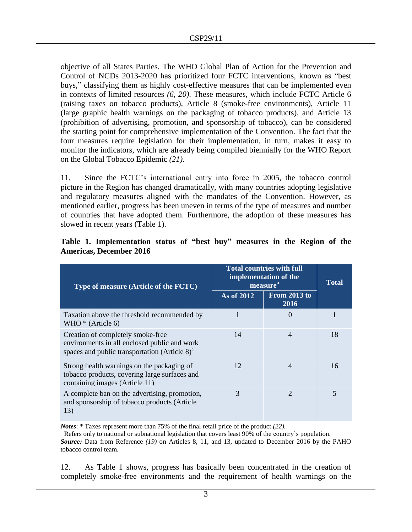objective of all States Parties. The WHO Global Plan of Action for the Prevention and Control of NCDs 2013-2020 has prioritized four FCTC interventions, known as "best buys," classifying them as highly cost-effective measures that can be implemented even in contexts of limited resources *(6, 20)*. These measures, which include FCTC Article 6 (raising taxes on tobacco products), Article 8 (smoke-free environments), Article 11 (large graphic health warnings on the packaging of tobacco products), and Article 13 (prohibition of advertising, promotion, and sponsorship of tobacco), can be considered the starting point for comprehensive implementation of the Convention. The fact that the four measures require legislation for their implementation, in turn, makes it easy to monitor the indicators, which are already being compiled biennially for the WHO Report on the Global Tobacco Epidemic *(21)*.

11. Since the FCTC's international entry into force in 2005, the tobacco control picture in the Region has changed dramatically, with many countries adopting legislative and regulatory measures aligned with the mandates of the Convention. However, as mentioned earlier, progress has been uneven in terms of the type of measures and number of countries that have adopted them. Furthermore, the adoption of these measures has slowed in recent years (Table 1).

| Type of measure (Article of the FCTC)                                                                                                          | <b>Total countries with full</b><br>implementation of the<br>measure <sup>a</sup> |                             | <b>Total</b> |
|------------------------------------------------------------------------------------------------------------------------------------------------|-----------------------------------------------------------------------------------|-----------------------------|--------------|
|                                                                                                                                                | As of 2012                                                                        | <b>From 2013 to</b><br>2016 |              |
| Taxation above the threshold recommended by<br>WHO $*$ (Article 6)                                                                             |                                                                                   | 0                           |              |
| Creation of completely smoke-free<br>environments in all enclosed public and work<br>spaces and public transportation (Article 8) <sup>a</sup> | 14                                                                                | 4                           | 18           |
| Strong health warnings on the packaging of<br>tobacco products, covering large surfaces and<br>containing images (Article 11)                  | 12                                                                                | 4                           | 16           |
| A complete ban on the advertising, promotion,<br>and sponsorship of tobacco products (Article<br>13)                                           | 3                                                                                 | っ                           | 5            |

# **Table 1. Implementation status of "best buy" measures in the Region of the Americas, December 2016**

*Notes*: \* Taxes represent more than 75% of the final retail price of the product *(22).* 

<sup>a</sup> Refers only to national or subnational legislation that covers least 90% of the country's population. *Source:* Data from Reference *(19)* on Articles 8, 11, and 13, updated to December 2016 by the PAHO tobacco control team.

12. As Table 1 shows, progress has basically been concentrated in the creation of completely smoke-free environments and the requirement of health warnings on the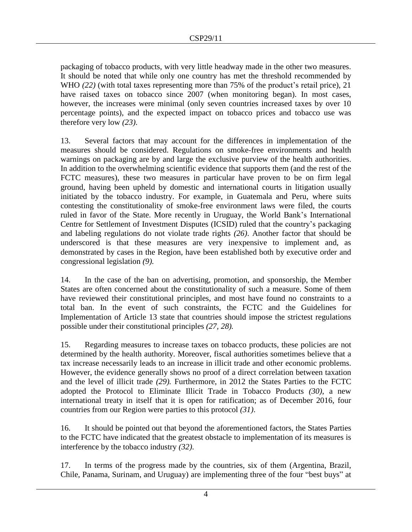packaging of tobacco products, with very little headway made in the other two measures. It should be noted that while only one country has met the threshold recommended by WHO *(22)* (with total taxes representing more than 75% of the product's retail price), 21 have raised taxes on tobacco since 2007 (when monitoring began). In most cases, however, the increases were minimal (only seven countries increased taxes by over 10 percentage points), and the expected impact on tobacco prices and tobacco use was therefore very low *(23)*.

13. Several factors that may account for the differences in implementation of the measures should be considered. Regulations on smoke-free environments and health warnings on packaging are by and large the exclusive purview of the health authorities. In addition to the overwhelming scientific evidence that supports them (and the rest of the FCTC measures), these two measures in particular have proven to be on firm legal ground, having been upheld by domestic and international courts in litigation usually initiated by the tobacco industry. For example, in Guatemala and Peru, where suits contesting the constitutionality of smoke-free environment laws were filed, the courts ruled in favor of the State. More recently in Uruguay, the World Bank's International Centre for Settlement of Investment Disputes (ICSID) ruled that the country's packaging and labeling regulations do not violate trade rights *(26)*. Another factor that should be underscored is that these measures are very inexpensive to implement and, as demonstrated by cases in the Region, have been established both by executive order and congressional legislation *(9).* 

14. In the case of the ban on advertising, promotion, and sponsorship, the Member States are often concerned about the constitutionality of such a measure. Some of them have reviewed their constitutional principles, and most have found no constraints to a total ban. In the event of such constraints, the FCTC and the Guidelines for Implementation of Article 13 state that countries should impose the strictest regulations possible under their constitutional principles *(27, 28).* 

15. Regarding measures to increase taxes on tobacco products, these policies are not determined by the health authority. Moreover, fiscal authorities sometimes believe that a tax increase necessarily leads to an increase in illicit trade and other economic problems. However, the evidence generally shows no proof of a direct correlation between taxation and the level of illicit trade *(29).* Furthermore, in 2012 the States Parties to the FCTC adopted the Protocol to Eliminate Illicit Trade in Tobacco Products *(30)*, a new international treaty in itself that it is open for ratification; as of December 2016, four countries from our Region were parties to this protocol *(31)*.

16. It should be pointed out that beyond the aforementioned factors, the States Parties to the FCTC have indicated that the greatest obstacle to implementation of its measures is interference by the tobacco industry *(32)*.

17. In terms of the progress made by the countries, six of them (Argentina, Brazil, Chile, Panama, Surinam, and Uruguay) are implementing three of the four "best buys" at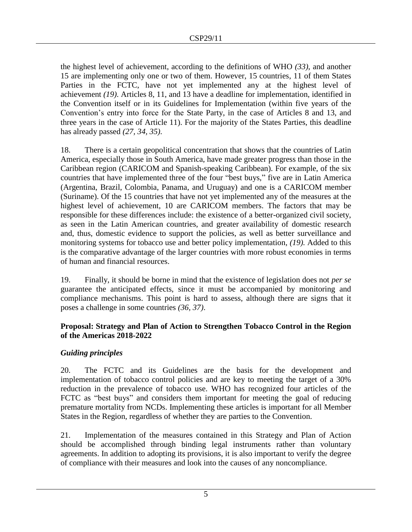the highest level of achievement, according to the definitions of WHO *(33)*, and another 15 are implementing only one or two of them. However, 15 countries, 11 of them States Parties in the FCTC, have not yet implemented any at the highest level of achievement *(19)*. Articles 8, 11, and 13 have a deadline for implementation, identified in the Convention itself or in its Guidelines for Implementation (within five years of the Convention's entry into force for the State Party, in the case of Articles 8 and 13, and three years in the case of Article 11). For the majority of the States Parties, this deadline has already passed *(27, 34, 35)*.

18. There is a certain geopolitical concentration that shows that the countries of Latin America, especially those in South America, have made greater progress than those in the Caribbean region (CARICOM and Spanish-speaking Caribbean). For example, of the six countries that have implemented three of the four "best buys," five are in Latin America (Argentina, Brazil, Colombia, Panama, and Uruguay) and one is a CARICOM member (Suriname). Of the 15 countries that have not yet implemented any of the measures at the highest level of achievement, 10 are CARICOM members. The factors that may be responsible for these differences include: the existence of a better-organized civil society, as seen in the Latin American countries, and greater availability of domestic research and, thus, domestic evidence to support the policies, as well as better surveillance and monitoring systems for tobacco use and better policy implementation, *(19).* Added to this is the comparative advantage of the larger countries with more robust economies in terms of human and financial resources.

19. Finally, it should be borne in mind that the existence of legislation does not *per se* guarantee the anticipated effects, since it must be accompanied by monitoring and compliance mechanisms. This point is hard to assess, although there are signs that it poses a challenge in some countries *(36, 37)*.

## **Proposal: Strategy and Plan of Action to Strengthen Tobacco Control in the Region of the Americas 2018-2022**

# *Guiding principles*

20. The FCTC and its Guidelines are the basis for the development and implementation of tobacco control policies and are key to meeting the target of a 30% reduction in the prevalence of tobacco use. WHO has recognized four articles of the FCTC as "best buys" and considers them important for meeting the goal of reducing premature mortality from NCDs. Implementing these articles is important for all Member States in the Region, regardless of whether they are parties to the Convention.

21. Implementation of the measures contained in this Strategy and Plan of Action should be accomplished through binding legal instruments rather than voluntary agreements. In addition to adopting its provisions, it is also important to verify the degree of compliance with their measures and look into the causes of any noncompliance.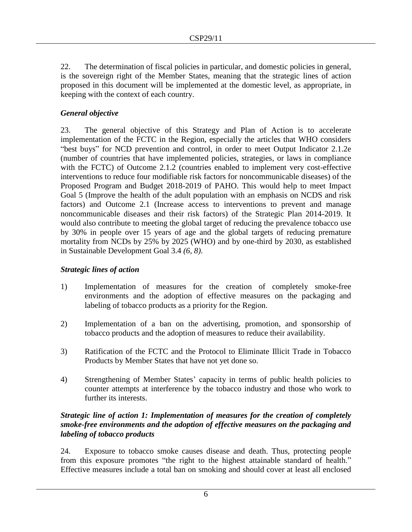22. The determination of fiscal policies in particular, and domestic policies in general, is the sovereign right of the Member States, meaning that the strategic lines of action proposed in this document will be implemented at the domestic level, as appropriate, in keeping with the context of each country.

# *General objective*

23. The general objective of this Strategy and Plan of Action is to accelerate implementation of the FCTC in the Region, especially the articles that WHO considers "best buys" for NCD prevention and control, in order to meet Output Indicator 2.1.2e (number of countries that have implemented policies, strategies, or laws in compliance with the FCTC) of Outcome 2.1.2 (countries enabled to implement very cost-effective interventions to reduce four modifiable risk factors for noncommunicable diseases) of the Proposed Program and Budget 2018-2019 of PAHO. This would help to meet Impact Goal 5 (Improve the health of the adult population with an emphasis on NCDS and risk factors) and Outcome 2.1 (Increase access to interventions to prevent and manage noncommunicable diseases and their risk factors) of the Strategic Plan 2014-2019. It would also contribute to meeting the global target of reducing the prevalence tobacco use by 30% in people over 15 years of age and the global targets of reducing premature mortality from NCDs by 25% by 2025 (WHO) and by one-third by 2030, as established in Sustainable Development Goal 3.4 *(6, 8)*.

# *Strategic lines of action*

- 1) Implementation of measures for the creation of completely smoke-free environments and the adoption of effective measures on the packaging and labeling of tobacco products as a priority for the Region.
- 2) Implementation of a ban on the advertising, promotion, and sponsorship of tobacco products and the adoption of measures to reduce their availability.
- 3) Ratification of the FCTC and the Protocol to Eliminate Illicit Trade in Tobacco Products by Member States that have not yet done so.
- 4) Strengthening of Member States' capacity in terms of public health policies to counter attempts at interference by the tobacco industry and those who work to further its interests.

# *Strategic line of action 1: Implementation of measures for the creation of completely smoke-free environments and the adoption of effective measures on the packaging and labeling of tobacco products*

24. Exposure to tobacco smoke causes disease and death. Thus, protecting people from this exposure promotes "the right to the highest attainable standard of health." Effective measures include a total ban on smoking and should cover at least all enclosed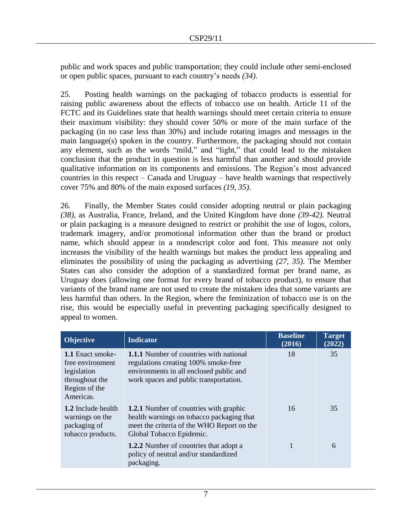public and work spaces and public transportation; they could include other semi-enclosed or open public spaces, pursuant to each country's needs *(34)*.

25. Posting health warnings on the packaging of tobacco products is essential for raising public awareness about the effects of tobacco use on health. Article 11 of the FCTC and its Guidelines state that health warnings should meet certain criteria to ensure their maximum visibility: they should cover 50% or more of the main surface of the packaging (in no case less than 30%) and include rotating images and messages in the main language(s) spoken in the country. Furthermore, the packaging should not contain any element, such as the words "mild," and "light," that could lead to the mistaken conclusion that the product in question is less harmful than another and should provide qualitative information on its components and emissions. The Region's most advanced countries in this respect – Canada and Uruguay – have health warnings that respectively cover 75% and 80% of the main exposed surfaces *(19, 35)*.

26. Finally, the Member States could consider adopting neutral or plain packaging *(38)*, as Australia, France, Ireland, and the United Kingdom have done *(39-42)*. Neutral or plain packaging is a measure designed to restrict or prohibit the use of logos, colors, trademark imagery, and/or promotional information other than the brand or product name, which should appear in a nondescript color and font. This measure not only increases the visibility of the health warnings but makes the product less appealing and eliminates the possibility of using the packaging as advertising *(27, 35)*. The Member States can also consider the adoption of a standardized format per brand name, as Uruguay does (allowing one format for every brand of tobacco product), to ensure that variants of the brand name are not used to create the mistaken idea that some variants are less harmful than others. In the Region, where the feminization of tobacco use is on the rise, this would be especially useful in preventing packaging specifically designed to appeal to women.

| <b>Objective</b>                                                                                                                                                                                                                                   | <b>Indicator</b>                                                                                                                                                            | <b>Baseline</b><br>(2016) | Target<br>(2022) |
|----------------------------------------------------------------------------------------------------------------------------------------------------------------------------------------------------------------------------------------------------|-----------------------------------------------------------------------------------------------------------------------------------------------------------------------------|---------------------------|------------------|
| 1.1 Enact smoke-<br>free environment<br>legislation<br>throughout the<br>Region of the<br>Americas.                                                                                                                                                | <b>1.1.1</b> Number of countries with national<br>regulations creating 100% smoke-free<br>environments in all enclosed public and<br>work spaces and public transportation. | 18                        | 35               |
| 1.2 Include health<br><b>1.2.1</b> Number of countries with graphic<br>health warnings on tobacco packaging that<br>warnings on the<br>meet the criteria of the WHO Report on the<br>packaging of<br>tobacco products.<br>Global Tobacco Epidemic. |                                                                                                                                                                             | 16                        | 35               |
|                                                                                                                                                                                                                                                    | <b>1.2.2</b> Number of countries that adopt a<br>policy of neutral and/or standardized<br>packaging.                                                                        |                           | 6                |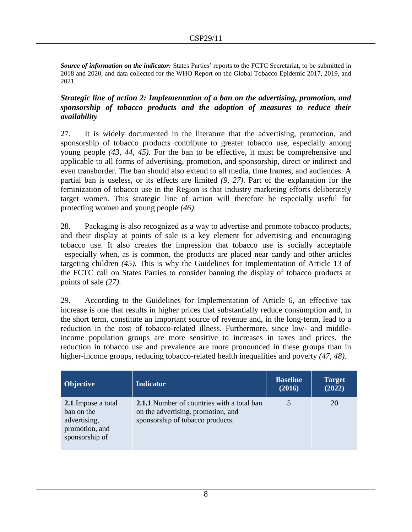*Source of information on the indicator:* States Parties' reports to the FCTC Secretariat, to be submitted in 2018 and 2020, and data collected for the WHO Report on the Global Tobacco Epidemic 2017, 2019, and 2021.

## *Strategic line of action 2: Implementation of a ban on the advertising, promotion, and sponsorship of tobacco products and the adoption of measures to reduce their availability*

27. It is widely documented in the literature that the advertising, promotion, and sponsorship of tobacco products contribute to greater tobacco use, especially among young people *(43, 44, 45)*. For the ban to be effective, it must be comprehensive and applicable to all forms of advertising, promotion, and sponsorship, direct or indirect and even transborder. The ban should also extend to all media, time frames, and audiences. A partial ban is useless, or its effects are limited *(9, 27)*. Part of the explanation for the feminization of tobacco use in the Region is that industry marketing efforts deliberately target women. This strategic line of action will therefore be especially useful for protecting women and young people *(46)*.

28. Packaging is also recognized as a way to advertise and promote tobacco products, and their display at points of sale is a key element for advertising and encouraging tobacco use. It also creates the impression that tobacco use is socially acceptable –especially when, as is common, the products are placed near candy and other articles targeting children *(45).* This is why the Guidelines for Implementation of Article 13 of the FCTC call on States Parties to consider banning the display of tobacco products at points of sale *(27)*.

29. According to the Guidelines for Implementation of Article 6, an effective tax increase is one that results in higher prices that substantially reduce consumption and, in the short term, constitute an important source of revenue and, in the long-term, lead to a reduction in the cost of tobacco-related illness. Furthermore, since low- and middleincome population groups are more sensitive to increases in taxes and prices, the reduction in tobacco use and prevalence are more pronounced in these groups than in higher-income groups, reducing tobacco-related health inequalities and poverty *(47, 48)*.

| <b>Objective</b>                                                                     | <b>Indicator</b>                                                                                                            | <b>Baseline</b><br>(2016) | <b>Target</b><br>(2022) |
|--------------------------------------------------------------------------------------|-----------------------------------------------------------------------------------------------------------------------------|---------------------------|-------------------------|
| 2.1 Impose a total<br>ban on the<br>advertising,<br>promotion, and<br>sponsorship of | <b>2.1.1</b> Number of countries with a total ban<br>on the advertising, promotion, and<br>sponsorship of tobacco products. | 5                         | 20                      |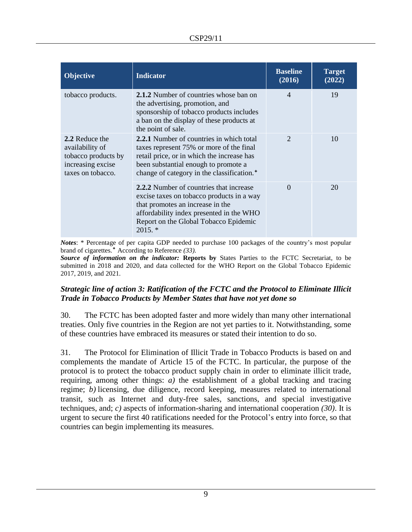| <b>Objective</b>                                                                                   | <b>Indicator</b>                                                                                                                                                                                                                     | <b>Baseline</b><br>(2016) | <b>Target</b><br>(2022) |
|----------------------------------------------------------------------------------------------------|--------------------------------------------------------------------------------------------------------------------------------------------------------------------------------------------------------------------------------------|---------------------------|-------------------------|
| tobacco products.                                                                                  | 2.1.2 Number of countries whose ban on<br>the advertising, promotion, and<br>sponsorship of tobacco products includes<br>a ban on the display of these products at<br>the point of sale.                                             | $\overline{\mathcal{A}}$  | 19                      |
| 2.2 Reduce the<br>availability of<br>tobacco products by<br>increasing excise<br>taxes on tobacco. | 2.2.1 Number of countries in which total<br>taxes represent 75% or more of the final<br>retail price, or in which the increase has<br>been substantial enough to promote a<br>change of category in the classification. <sup>+</sup> |                           | 10                      |
|                                                                                                    | 2.2.2 Number of countries that increase<br>excise taxes on tobacco products in a way<br>that promotes an increase in the<br>affordability index presented in the WHO<br>Report on the Global Tobacco Epidemic<br>$2015.$ *           | $\Omega$                  | 20                      |

*Notes*: \* Percentage of per capita GDP needed to purchase 100 packages of the country's most popular brand of cigarettes. According to Reference *(33).* 

*Source of information on the indicator:* **Reports by** States Parties to the FCTC Secretariat, to be submitted in 2018 and 2020, and data collected for the WHO Report on the Global Tobacco Epidemic 2017, 2019, and 2021.

## *Strategic line of action 3: Ratification of the FCTC and the Protocol to Eliminate Illicit Trade in Tobacco Products by Member States that have not yet done so*

30. The FCTC has been adopted faster and more widely than many other international treaties. Only five countries in the Region are not yet parties to it. Notwithstanding, some of these countries have embraced its measures or stated their intention to do so.

31. The Protocol for Elimination of Illicit Trade in Tobacco Products is based on and complements the mandate of Article 15 of the FCTC. In particular, the purpose of the protocol is to protect the tobacco product supply chain in order to eliminate illicit trade, requiring, among other things: *a)* the establishment of a global tracking and tracing regime; *b)* licensing, due diligence, record keeping, measures related to international transit, such as Internet and duty-free sales, sanctions, and special investigative techniques, and; *c)* aspects of information-sharing and international cooperation *(30)*. It is urgent to secure the first 40 ratifications needed for the Protocol's entry into force, so that countries can begin implementing its measures.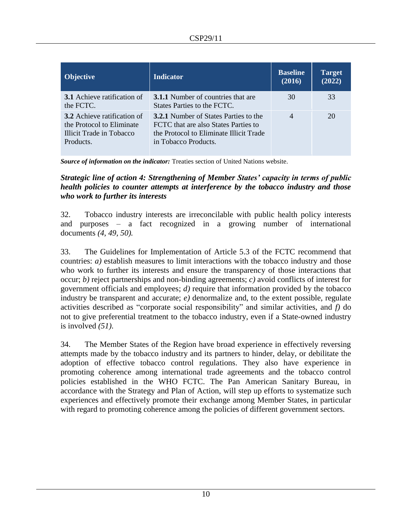| <b>Objective</b>                                                                                         | <b>Indicator</b>                                                                                                                                        | <b>Baseline</b><br>(2016) | <b>Target</b><br>(2022) |
|----------------------------------------------------------------------------------------------------------|---------------------------------------------------------------------------------------------------------------------------------------------------------|---------------------------|-------------------------|
| <b>3.1</b> Achieve ratification of<br>the FCTC.                                                          | <b>3.1.1</b> Number of countries that are<br>States Parties to the FCTC.                                                                                | 30                        | 33                      |
| <b>3.2</b> Achieve ratification of<br>the Protocol to Eliminate<br>Illicit Trade in Tobacco<br>Products. | <b>3.2.1</b> Number of States Parties to the<br>FCTC that are also States Parties to<br>the Protocol to Eliminate Illicit Trade<br>in Tobacco Products. | $\overline{4}$            | 20                      |

*Source of information on the indicator:* Treaties section of United Nations website.

*Strategic line of action 4: Strengthening of Member States' capacity in terms of public health policies to counter attempts at interference by the tobacco industry and those who work to further its interests*

32. Tobacco industry interests are irreconcilable with public health policy interests and purposes – a fact recognized in a growing number of international documents *(4, 49, 50).* 

33. The Guidelines for Implementation of Article 5.3 of the FCTC recommend that countries: *a)* establish measures to limit interactions with the tobacco industry and those who work to further its interests and ensure the transparency of those interactions that occur; *b)* reject partnerships and non-binding agreements; *c)* avoid conflicts of interest for government officials and employees; *d)* require that information provided by the tobacco industry be transparent and accurate; *e)* denormalize and, to the extent possible, regulate activities described as "corporate social responsibility" and similar activities, and *f)* do not to give preferential treatment to the tobacco industry, even if a State-owned industry is involved *(51)*.

34. The Member States of the Region have broad experience in effectively reversing attempts made by the tobacco industry and its partners to hinder, delay, or debilitate the adoption of effective tobacco control regulations. They also have experience in promoting coherence among international trade agreements and the tobacco control policies established in the WHO FCTC. The Pan American Sanitary Bureau, in accordance with the Strategy and Plan of Action, will step up efforts to systematize such experiences and effectively promote their exchange among Member States, in particular with regard to promoting coherence among the policies of different government sectors.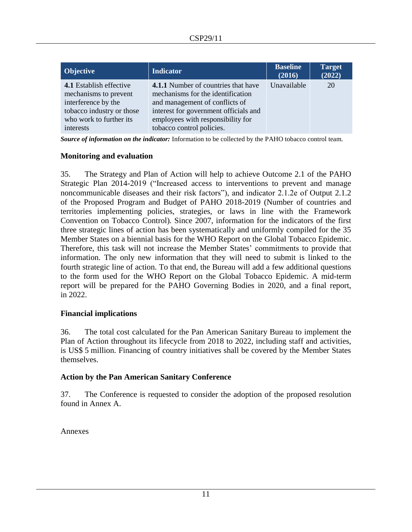| <b>Objective</b>                                                                                                                                    | <b>Indicator</b>                                                                                                                                                                                                      | <b>Baseline</b><br>(2016) | <b>Target</b><br>(2022) |
|-----------------------------------------------------------------------------------------------------------------------------------------------------|-----------------------------------------------------------------------------------------------------------------------------------------------------------------------------------------------------------------------|---------------------------|-------------------------|
| <b>4.1</b> Establish effective<br>mechanisms to prevent<br>interference by the<br>tobacco industry or those<br>who work to further its<br>interests | 4.1.1 Number of countries that have<br>mechanisms for the identification<br>and management of conflicts of<br>interest for government officials and<br>employees with responsibility for<br>tobacco control policies. | Unavailable               | 20                      |

*Source of information on the indicator:* Information to be collected by the PAHO tobacco control team.

#### **Monitoring and evaluation**

35. The Strategy and Plan of Action will help to achieve Outcome 2.1 of the PAHO Strategic Plan 2014-2019 ("Increased access to interventions to prevent and manage noncommunicable diseases and their risk factors"), and indicator 2.1.2e of Output 2.1.2 of the Proposed Program and Budget of PAHO 2018-2019 (Number of countries and territories implementing policies, strategies, or laws in line with the Framework Convention on Tobacco Control)*.* Since 2007, information for the indicators of the first three strategic lines of action has been systematically and uniformly compiled for the 35 Member States on a biennial basis for the WHO Report on the Global Tobacco Epidemic. Therefore, this task will not increase the Member States' commitments to provide that information. The only new information that they will need to submit is linked to the fourth strategic line of action. To that end, the Bureau will add a few additional questions to the form used for the WHO Report on the Global Tobacco Epidemic. A mid-term report will be prepared for the PAHO Governing Bodies in 2020, and a final report, in 2022.

## **Financial implications**

36. The total cost calculated for the Pan American Sanitary Bureau to implement the Plan of Action throughout its lifecycle from 2018 to 2022, including staff and activities, is US\$ 5 million. Financing of country initiatives shall be covered by the Member States themselves.

## **Action by the Pan American Sanitary Conference**

37. The Conference is requested to consider the adoption of the proposed resolution found in Annex A.

Annexes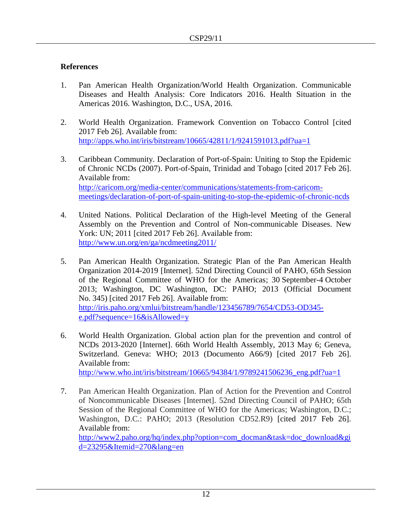# **References**

- 1. Pan American Health Organization/World Health Organization. Communicable Diseases and Health Analysis: Core Indicators 2016. Health Situation in the Americas 2016. Washington, D.C., USA, 2016.
- 2. World Health Organization. Framework Convention on Tobacco Control [cited 2017 Feb 26]. Available from: <http://apps.who.int/iris/bitstream/10665/42811/1/9241591013.pdf?ua=1>
- 3. Caribbean Community. Declaration of Port-of-Spain: Uniting to Stop the Epidemic of Chronic NCDs (2007). Port-of-Spain, Trinidad and Tobago [cited 2017 Feb 26]. Available from: [http://caricom.org/media-center/communications/statements-from-caricom](http://caricom.org/media-center/communications/statements-from-caricom-meetings/declaration-of-port-of-spain-uniting-to-stop-the-epidemic-of-chronic-ncds)[meetings/declaration-of-port-of-spain-uniting-to-stop-the-epidemic-of-chronic-ncds](http://caricom.org/media-center/communications/statements-from-caricom-meetings/declaration-of-port-of-spain-uniting-to-stop-the-epidemic-of-chronic-ncds)
- 4. United Nations. Political Declaration of the High-level Meeting of the General Assembly on the Prevention and Control of Non-communicable Diseases. New York: UN; 2011 [cited 2017 Feb 26]. Available from: <http://www.un.org/en/ga/ncdmeeting2011/>
- 5. Pan American Health Organization. Strategic Plan of the Pan American Health Organization 2014-2019 [Internet]. 52nd Directing Council of PAHO, 65th Session of the Regional Committee of WHO for the Americas; 30 September-4 October 2013; Washington, DC Washington, DC: PAHO; 2013 (Official Document No. 345) [cited 2017 Feb 26]. Available from: [http://iris.paho.org/xmlui/bitstream/handle/123456789/7654/CD53-OD345](http://iris.paho.org/xmlui/bitstream/handle/123456789/7654/CD53-OD345-e.pdf?sequence=16&isAllowed=y) [e.pdf?sequence=16&isAllowed=y](http://iris.paho.org/xmlui/bitstream/handle/123456789/7654/CD53-OD345-e.pdf?sequence=16&isAllowed=y)
- 6. World Health Organization. Global action plan for the prevention and control of NCDs 2013-2020 [Internet]. 66th World Health Assembly, 2013 May 6; Geneva, Switzerland. Geneva: WHO; 2013 (Documento A66/9) [cited 2017 Feb 26]. Available from: [http://www.who.int/iris/bitstream/10665/94384/1/9789241506236\\_eng.pdf?ua=1](http://www.who.int/iris/bitstream/10665/94384/1/9789241506236_eng.pdf?ua=1)

7. Pan American Health Organization. Plan of Action for the Prevention and Control of Noncommunicable Diseases [Internet]. 52nd Directing Council of PAHO; 65th Session of the Regional Committee of WHO for the Americas; Washington, D.C.; Washington, D.C.: PAHO; 2013 (Resolution CD52.R9) [cited 2017 Feb 26]. Available from: [http://www2.paho.org/hq/index.php?option=com\\_docman&task=doc\\_download&gi](http://www2.paho.org/hq/index.php?option=com_docman&task=doc_download&gid=23295&Itemid=270&lang=en) [d=23295&Itemid=270&lang=en](http://www2.paho.org/hq/index.php?option=com_docman&task=doc_download&gid=23295&Itemid=270&lang=en)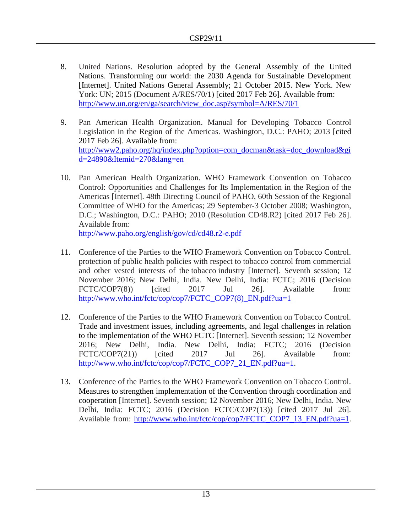- 8. United Nations. Resolution adopted by the General Assembly of the United Nations. Transforming our world: the 2030 Agenda for Sustainable Development [Internet]. United Nations General Assembly; 21 October 2015. New York. New York: UN; 2015 (Document A/RES/70/1) [cited 2017 Feb 26]. Available from: [http://www.un.org/en/ga/search/view\\_doc.asp?symbol=A/RES/70/1](http://www.un.org/en/ga/search/view_doc.asp?symbol=A/RES/70/1)
- 9. Pan American Health Organization. Manual for Developing Tobacco Control Legislation in the Region of the Americas. Washington, D.C.: PAHO; 2013 [cited 2017 Feb 26]. Available from: [http://www2.paho.org/hq/index.php?option=com\\_docman&task=doc\\_download&gi](http://www2.paho.org/hq/index.php?option=com_docman&task=doc_download&gid=24890&Itemid=270&lang=en) [d=24890&Itemid=270&lang=en](http://www2.paho.org/hq/index.php?option=com_docman&task=doc_download&gid=24890&Itemid=270&lang=en)
- 10. Pan American Health Organization. WHO Framework Convention on Tobacco Control: Opportunities and Challenges for Its Implementation in the Region of the Americas [Internet]. 48th Directing Council of PAHO, 60th Session of the Regional Committee of WHO for the Americas; 29 September-3 October 2008; Washington, D.C.; Washington, D.C.: PAHO; 2010 (Resolution CD48.R2) [cited 2017 Feb 26]. Available from:

<http://www.paho.org/english/gov/cd/cd48.r2-e.pdf>

- 11. Conference of the Parties to the WHO Framework Convention on Tobacco Control. protection of public health policies with respect to tobacco control from commercial and other vested interests of the tobacco industry [Internet]. Seventh session; 12 November 2016; New Delhi, India. New Delhi, India: FCTC; 2016 (Decision FCTC/COP7(8)) [cited 2017 Jul 26]. Available from: [http://www.who.int/fctc/cop/cop7/FCTC\\_COP7\(8\)\\_EN.pdf?ua=1](http://www.who.int/fctc/cop/cop7/FCTC_COP7(8)_EN.pdf?ua=1)
- 12. Conference of the Parties to the WHO Framework Convention on Tobacco Control. Trade and investment issues, including agreements, and legal challenges in relation to the implementation of the WHO FCTC [Internet]. Seventh session; 12 November 2016; New Delhi, India. New Delhi, India: FCTC; 2016 (Decision FCTC/COP7(21)) [cited 2017 Jul 26]. Available from: [http://www.who.int/fctc/cop/cop7/FCTC\\_COP7\\_21\\_EN.pdf?ua=1.](http://www.who.int/fctc/cop/cop7/FCTC_COP7_21_EN.pdf?ua=1)
- 13. Conference of the Parties to the WHO Framework Convention on Tobacco Control. Measures to strengthen implementation of the Convention through coordination and cooperation [Internet]. Seventh session; 12 November 2016; New Delhi, India. New Delhi, India: FCTC; 2016 (Decision FCTC/COP7(13)) [cited 2017 Jul 26]. Available from: [http://www.who.int/fctc/cop/cop7/FCTC\\_COP7\\_13\\_EN.pdf?ua=1.](http://www.who.int/fctc/cop/cop7/FCTC_COP7_13_EN.pdf?ua=1)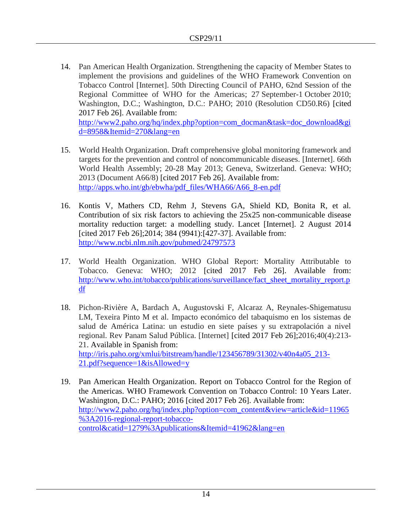14. Pan American Health Organization. Strengthening the capacity of Member States to implement the provisions and guidelines of the WHO Framework Convention on Tobacco Control [Internet]. 50th Directing Council of PAHO, 62nd Session of the Regional Committee of WHO for the Americas; 27 September-1 October 2010; Washington, D.C.; Washington, D.C.: PAHO; 2010 (Resolution CD50.R6) [cited 2017 Feb 26]. Available from:

[http://www2.paho.org/hq/index.php?option=com\\_docman&task=doc\\_download&gi](http://www2.paho.org/hq/index.php?option=com_docman&task=doc_download&gid=8958&Itemid=270&lang=en) [d=8958&Itemid=270&lang=en](http://www2.paho.org/hq/index.php?option=com_docman&task=doc_download&gid=8958&Itemid=270&lang=en)

- 15. World Health Organization. Draft comprehensive global monitoring framework and targets for the prevention and control of noncommunicable diseases. [Internet]. 66th World Health Assembly; 20-28 May 2013; Geneva, Switzerland. Geneva: WHO; 2013 (Document A66/8) [cited 2017 Feb 26]. Available from: [http://apps.who.int/gb/ebwha/pdf\\_files/WHA66/A66\\_8-en.pdf](http://apps.who.int/gb/ebwha/pdf_files/WHA66/A66_8-en.pdf)
- 16. Kontis V, Mathers CD, Rehm J, Stevens GA, Shield KD, Bonita R, et al. Contribution of six risk factors to achieving the 25x25 non-communicable disease mortality reduction target: a modelling study. Lancet [Internet]. 2 August 2014 [cited 2017 Feb 26];2014; 384 (9941):[427-37]. Available from: <http://www.ncbi.nlm.nih.gov/pubmed/24797573>
- 17. World Health Organization. WHO Global Report: Mortality Attributable to Tobacco. Geneva: WHO; 2012 [cited 2017 Feb 26]. Available from: [http://www.who.int/tobacco/publications/surveillance/fact\\_sheet\\_mortality\\_report.p](http://www.who.int/tobacco/publications/surveillance/fact_sheet_mortality_report.pdf) [df](http://www.who.int/tobacco/publications/surveillance/fact_sheet_mortality_report.pdf)
- 18. Pichon-Rivière A, Bardach A, Augustovski F, Alcaraz A, Reynales-Shigematusu LM, Texeira Pinto M et al. Impacto económico del tabaquismo en los sistemas de salud de América Latina: un estudio en siete países y su extrapolación a nivel regional. Rev Panam Salud Pública. [Internet] [cited 2017 Feb 26];2016;40(4):213- 21. Available in Spanish from: [http://iris.paho.org/xmlui/bitstream/handle/123456789/31302/v40n4a05\\_213-](http://iris.paho.org/xmlui/bitstream/handle/123456789/31302/v40n4a05_213-21.pdf?sequence=1&isAllowed=y) [21.pdf?sequence=1&isAllowed=y](http://iris.paho.org/xmlui/bitstream/handle/123456789/31302/v40n4a05_213-21.pdf?sequence=1&isAllowed=y)
- 19. Pan American Health Organization. Report on Tobacco Control for the Region of the Americas. WHO Framework Convention on Tobacco Control: 10 Years Later. Washington, D.C.: PAHO; 2016 [cited 2017 Feb 26]. Available from: [http://www2.paho.org/hq/index.php?option=com\\_content&view=article&id=11965](http://www2.paho.org/hq/index.php?option=com_content&view=article&id=11965%3A2016-regional-report-tobacco-control&catid=1279%3Apublications&Itemid=41962&lang=en) [%3A2016-regional-report-tobacco](http://www2.paho.org/hq/index.php?option=com_content&view=article&id=11965%3A2016-regional-report-tobacco-control&catid=1279%3Apublications&Itemid=41962&lang=en)[control&catid=1279%3Apublications&Itemid=41962&lang=en](http://www2.paho.org/hq/index.php?option=com_content&view=article&id=11965%3A2016-regional-report-tobacco-control&catid=1279%3Apublications&Itemid=41962&lang=en)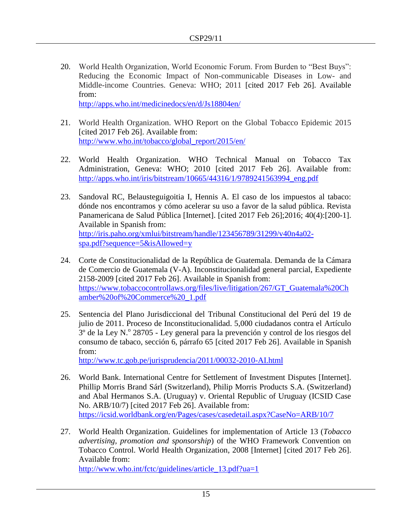20. World Health Organization, World Economic Forum. From Burden to "Best Buys": Reducing the Economic Impact of Non-communicable Diseases in Low- and Middle-income Countries. Geneva: WHO; 2011 [cited 2017 Feb 26]. Available from:

<http://apps.who.int/medicinedocs/en/d/Js18804en/>

- 21. World Health Organization. WHO Report on the Global Tobacco Epidemic 2015 [cited 2017 Feb 26]. Available from: [http://www.who.int/tobacco/global\\_report/2015/en/](http://www.who.int/tobacco/global_report/2015/en/)
- 22. World Health Organization. WHO Technical Manual on Tobacco Tax Administration, Geneva: WHO; 2010 [cited 2017 Feb 26]. Available from: [http://apps.who.int/iris/bitstream/10665/44316/1/9789241563994\\_eng.pdf](http://apps.who.int/iris/bitstream/10665/44316/1/9789241563994_eng.pdf)
- 23. Sandoval RC, Belausteguigoitia I, Hennis A. El caso de los impuestos al tabaco: dónde nos encontramos y cómo acelerar su uso a favor de la salud pública. Revista Panamericana de Salud Pública [Internet]. [cited 2017 Feb 26];2016; 40(4):[200-1]. Available in Spanish from: [http://iris.paho.org/xmlui/bitstream/handle/123456789/31299/v40n4a02](http://iris.paho.org/xmlui/bitstream/handle/123456789/31299/v40n4a02-spa.pdf?sequence=5&isAllowed=y) [spa.pdf?sequence=5&isAllowed=y](http://iris.paho.org/xmlui/bitstream/handle/123456789/31299/v40n4a02-spa.pdf?sequence=5&isAllowed=y)
- 24. Corte de Constitucionalidad de la República de Guatemala. Demanda de la Cámara de Comercio de Guatemala (V-A). Inconstitucionalidad general parcial, Expediente 2158-2009 [cited 2017 Feb 26]. Available in Spanish from: [https://www.tobaccocontrollaws.org/files/live/litigation/267/GT\\_Guatemala%20Ch](https://www.tobaccocontrollaws.org/files/live/litigation/267/GT_Guatemala%20Chamber%20of%20Commerce%20_1.pdf) [amber%20of%20Commerce%20\\_1.pdf](https://www.tobaccocontrollaws.org/files/live/litigation/267/GT_Guatemala%20Chamber%20of%20Commerce%20_1.pdf)
- 25. Sentencia del Plano Jurisdiccional del Tribunal Constitucional del Perú del 19 de julio de 2011. Proceso de Inconstitucionalidad. 5,000 ciudadanos contra el Artículo <sup>3</sup> de la Ley N.<sup>o</sup> 28705 - Ley general para la prevención y control de los riesgos del consumo de tabaco, sección 6, párrafo 65 [cited 2017 Feb 26]. Available in Spanish from:

<http://www.tc.gob.pe/jurisprudencia/2011/00032-2010-AI.html>

- 26. World Bank. International Centre for Settlement of Investment Disputes [Internet]. Phillip Morris Brand Sárl (Switzerland), Philip Morris Products S.A. (Switzerland) and Abal Hermanos S.A. (Uruguay) v. Oriental Republic of Uruguay (ICSID Case No. ARB/10/7) [cited 2017 Feb 26]. Available from: <https://icsid.worldbank.org/en/Pages/cases/casedetail.aspx?CaseNo=ARB/10/7>
- 27. World Health Organization. Guidelines for implementation of Article 13 (*Tobacco advertising, promotion and sponsorship*) of the WHO Framework Convention on Tobacco Control. World Health Organization, 2008 [Internet] [cited 2017 Feb 26]. Available from:

[http://www.who.int/fctc/guidelines/article\\_13.pdf?ua=1](http://www.who.int/fctc/guidelines/article_13.pdf?ua=1)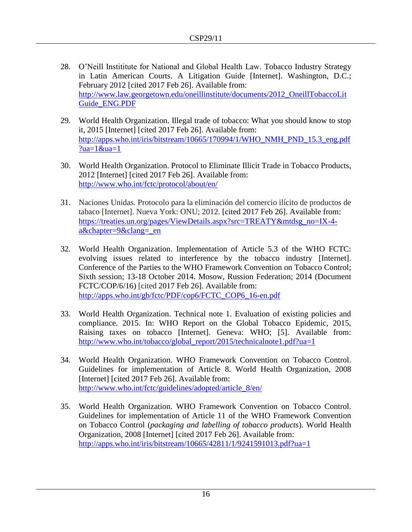- 28. O'Neill Instititute for National and Global Health Law. Tobacco Industry Strategy in Latin American Courts. A Litigation Guide [Internet]. Washington, D.C.; February 2012 [cited 2017 Feb 26]. Available from: [http://www.law.georgetown.edu/oneillinstitute/documents/2012\\_OneillTobaccoLit](http://www.law.georgetown.edu/oneillinstitute/documents/2012_OneillTobaccoLitGuide_ENG.PDF) [Guide\\_ENG.PDF](http://www.law.georgetown.edu/oneillinstitute/documents/2012_OneillTobaccoLitGuide_ENG.PDF)
- 29. World Health Organization. Illegal trade of tobacco: What you should know to stop it, 2015 [Internet] [cited 2017 Feb 26]. Available from: [http://apps.who.int/iris/bitstream/10665/170994/1/WHO\\_NMH\\_PND\\_15.3\\_eng.pdf](http://apps.who.int/iris/bitstream/10665/170994/1/WHO_NMH_PND_15.3_eng.pdf?ua=1&ua=1) [?ua=1&ua=1](http://apps.who.int/iris/bitstream/10665/170994/1/WHO_NMH_PND_15.3_eng.pdf?ua=1&ua=1)
- 30. World Health Organization. Protocol to Eliminate Illicit Trade in Tobacco Products, 2012 [Internet] [cited 2017 Feb 26]. Available from: <http://www.who.int/fctc/protocol/about/en/>
- 31. Naciones Unidas. Protocolo para la eliminación del comercio ilícito de productos de tabaco [Internet]. Nueva York: ONU; 2012. [cited 2017 Feb 26]. Available from: [https://treaties.un.org/pages/ViewDetails.aspx?src=TREATY&mtdsg\\_no=IX-4](https://treaties.un.org/pages/ViewDetails.aspx?src=TREATY&mtdsg_no=IX-4-a&chapter=9&clang=_en) [a&chapter=9&clang=\\_en](https://treaties.un.org/pages/ViewDetails.aspx?src=TREATY&mtdsg_no=IX-4-a&chapter=9&clang=_en)
- 32. World Health Organization. Implementation of Article 5.3 of the WHO FCTC: evolving issues related to interference by the tobacco industry [Internet]. Conference of the Parties to the WHO Framework Convention on Tobacco Control; Sixth session; 13-18 October 2014. Mosow, Russion Federation; 2014 (Document FCTC/COP/6/16) [cited 2017 Feb 26]. Available from: [http://apps.who.int/gb/fctc/PDF/cop6/FCTC\\_COP6\\_16-en.pdf](http://apps.who.int/gb/fctc/PDF/cop6/FCTC_COP6_16-en.pdf)
- 33. World Health Organization. Technical note 1. Evaluation of existing policies and compliance. 2015. In: WHO Report on the Global Tobacco Epidemic, 2015, Raising taxes on tobacco [Internet]. Geneva: WHO; [5]. Available from: [http://www.who.int/tobacco/global\\_report/2015/technicalnote1.pdf?ua=1](http://www.who.int/tobacco/global_report/2015/technicalnote1.pdf?ua=1)
- 34. World Health Organization. WHO Framework Convention on Tobacco Control. Guidelines for implementation of Article 8. World Health Organization, 2008 [Internet] [cited 2017 Feb 26]. Available from: [http://www.who.int/fctc/guidelines/adopted/article\\_8/en/](http://www.who.int/fctc/guidelines/adopted/article_8/en/)
- 35. World Health Organization. WHO Framework Convention on Tobacco Control. Guidelines for implementation of Article 11 of the WHO Framework Convention on Tobacco Control (*packaging and labelling of tobacco products*). World Health Organization, 2008 [Internet] [cited 2017 Feb 26]. Available from: http://apps.who.int/iris/bitstream/10665/42811/1/9241591013.pdf?ua=1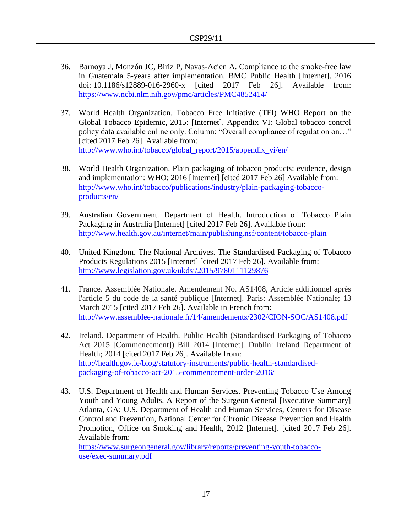- 36. Barnoya J, Monzón JC, Biriz P, Navas-Acien A. Compliance to the smoke-free law in Guatemala 5-years after implementation. BMC Public Health [Internet]. 2016 doi: [10.1186/s12889-016-2960-x](https://dx.doi.org/10.1186%2Fs12889-016-2960-x) [cited 2017 Feb 26]. Available from: <https://www.ncbi.nlm.nih.gov/pmc/articles/PMC4852414/>
- 37. World Health Organization. Tobacco Free Initiative (TFI) WHO Report on the Global Tobacco Epidemic, 2015: [Internet]. Appendix VI: Global tobacco control policy data available online only. Column: "Overall compliance of regulation on…" [cited 2017 Feb 26]. Available from: [http://www.who.int/tobacco/global\\_report/2015/appendix\\_vi/en/](http://www.who.int/tobacco/global_report/2015/appendix_vi/en/)
- 38. World Health Organization. Plain packaging of tobacco products: evidence, design and implementation: WHO; 2016 [Internet] [cited 2017 Feb 26] Available from: [http://www.who.int/tobacco/publications/industry/plain-packaging-tobacco](http://www.who.int/tobacco/publications/industry/plain-packaging-tobacco-products/en/)[products/en/](http://www.who.int/tobacco/publications/industry/plain-packaging-tobacco-products/en/)
- 39. Australian Government. Department of Health. Introduction of Tobacco Plain Packaging in Australia [Internet] [cited 2017 Feb 26]. Available from: <http://www.health.gov.au/internet/main/publishing.nsf/content/tobacco-plain>
- 40. United Kingdom. The National Archives. The Standardised Packaging of Tobacco Products Regulations 2015 [Internet] [cited 2017 Feb 26]. Available from: <http://www.legislation.gov.uk/ukdsi/2015/9780111129876>
- 41. France. Assemblée Nationale. Amendement No. AS1408, Article additionnel après l'article 5 du code de la santé publique [Internet]. Paris: Assemblée Nationale; 13 March 2015 [cited 2017 Feb 26]. Available in French from: <http://www.assemblee-nationale.fr/14/amendements/2302/CION-SOC/AS1408.pdf>
- 42. Ireland. Department of Health. Public Health (Standardised Packaging of Tobacco Act 2015 [Commencement]) Bill 2014 [Internet]. Dublin: Ireland Department of Health; 2014 [cited 2017 Feb 26]. Available from: [http://health.gov.ie/blog/statutory-instruments/public-health-standardised](http://health.gov.ie/blog/statutory-instruments/public-health-standardised-packaging-of-tobacco-act-2015-commencement-order-2016/)[packaging-of-tobacco-act-2015-commencement-order-2016/](http://health.gov.ie/blog/statutory-instruments/public-health-standardised-packaging-of-tobacco-act-2015-commencement-order-2016/)
- 43. U.S. Department of Health and Human Services. Preventing Tobacco Use Among Youth and Young Adults. A Report of the Surgeon General [Executive Summary] Atlanta, GA: U.S. Department of Health and Human Services, Centers for Disease Control and Prevention, National Center for Chronic Disease Prevention and Health Promotion, Office on Smoking and Health, 2012 [Internet]. [cited 2017 Feb 26]. Available from: [https://www.surgeongeneral.gov/library/reports/preventing-youth-tobacco-](https://www.surgeongeneral.gov/library/reports/preventing-youth-tobacco-use/exec-summary.pdf)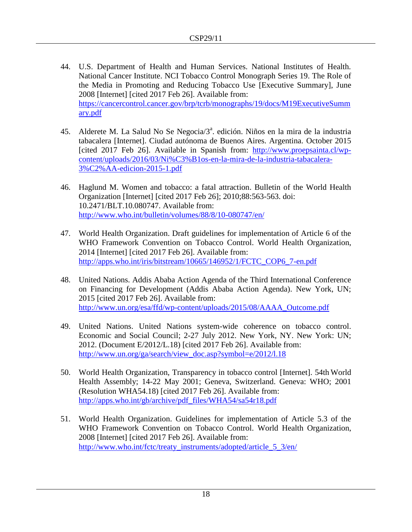- 44. U.S. Department of Health and Human Services. National Institutes of Health. National Cancer Institute. NCI Tobacco Control Monograph Series 19. The Role of the Media in Promoting and Reducing Tobacco Use [Executive Summary], June 2008 [Internet] [cited 2017 Feb 26]. Available from: [https://cancercontrol.cancer.gov/brp/tcrb/monographs/19/docs/M19ExecutiveSumm](https://cancercontrol.cancer.gov/brp/tcrb/monographs/19/docs/M19ExecutiveSummary.pdf) [ary.pdf](https://cancercontrol.cancer.gov/brp/tcrb/monographs/19/docs/M19ExecutiveSummary.pdf)
- 45. Alderete M. La Salud No Se Negocia/ $3^a$ . edición. Niños en la mira de la industria tabacalera [Internet]. Ciudad autónoma de Buenos Aires. Argentina. October 2015 [cited 2017 Feb 26]. Available in Spanish from: [http://www.proepsainta.cl/wp](http://www.proepsainta.cl/wp-content/uploads/2016/03/Ni%C3%B1os-en-la-mira-de-la-industria-tabacalera-3%C2%AA-edicion-2015-1.pdf)[content/uploads/2016/03/Ni%C3%B1os-en-la-mira-de-la-industria-tabacalera-](http://www.proepsainta.cl/wp-content/uploads/2016/03/Ni%C3%B1os-en-la-mira-de-la-industria-tabacalera-3%C2%AA-edicion-2015-1.pdf)[3%C2%AA-edicion-2015-1.pdf](http://www.proepsainta.cl/wp-content/uploads/2016/03/Ni%C3%B1os-en-la-mira-de-la-industria-tabacalera-3%C2%AA-edicion-2015-1.pdf)
- 46. Haglund M. Women and tobacco: a fatal attraction. Bulletin of the World Health Organization [Internet] [cited 2017 Feb 26]; 2010;88:563-563. doi: 10.2471/BLT.10.080747. Available from: <http://www.who.int/bulletin/volumes/88/8/10-080747/en/>
- 47. World Health Organization. Draft guidelines for implementation of Article 6 of the WHO Framework Convention on Tobacco Control. World Health Organization, 2014 [Internet] [cited 2017 Feb 26]. Available from: [http://apps.who.int/iris/bitstream/10665/146952/1/FCTC\\_COP6\\_7-en.pdf](http://apps.who.int/iris/bitstream/10665/146952/1/FCTC_COP6_7-en.pdf)
- 48. United Nations. Addis Ababa Action Agenda of the Third International Conference on Financing for Development (Addis Ababa Action Agenda). New York, UN; 2015 [cited 2017 Feb 26]. Available from: [http://www.un.org/esa/ffd/wp-content/uploads/2015/08/AAAA\\_Outcome.pdf](http://www.un.org/esa/ffd/wp-content/uploads/2015/08/AAAA_Outcome.pdf)
- 49. United Nations. United Nations system-wide coherence on tobacco control. Economic and Social Council; 2-27 July 2012. New York, NY. New York: UN; 2012. (Document E/2012/L.18) [cited 2017 Feb 26]. Available from: [http://www.un.org/ga/search/view\\_doc.asp?symbol=e/2012/l.18](http://www.un.org/ga/search/view_doc.asp?symbol=e/2012/l.18)
- 50. World Health Organization, Transparency in tobacco control [Internet]. 54th World Health Assembly; 14-22 May 2001; Geneva, Switzerland. Geneva: WHO; 2001 (Resolution WHA54.18) [cited 2017 Feb 26]. Available from: [http://apps.who.int/gb/archive/pdf\\_files/WHA54/sa54r18.pdf](http://apps.who.int/gb/archive/pdf_files/WHA54/sa54r18.pdf)
- 51. World Health Organization. Guidelines for implementation of Article 5.3 of the WHO Framework Convention on Tobacco Control. World Health Organization, 2008 [Internet] [cited 2017 Feb 26]. Available from: [http://www.who.int/fctc/treaty\\_instruments/adopted/article\\_5\\_3/en/](http://www.who.int/fctc/treaty_instruments/adopted/article_5_3/en/)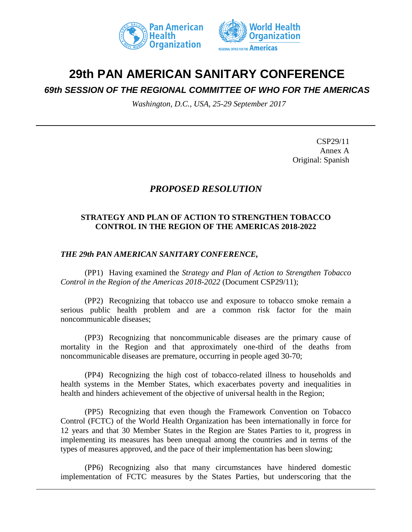



# **29th PAN AMERICAN SANITARY CONFERENCE**

*69th SESSION OF THE REGIONAL COMMITTEE OF WHO FOR THE AMERICAS*

*Washington, D.C., USA, 25-29 September 2017*

CSP29/11 Annex A Original: Spanish

# *PROPOSED RESOLUTION*

## **STRATEGY AND PLAN OF ACTION TO STRENGTHEN TOBACCO CONTROL IN THE REGION OF THE AMERICAS 2018-2022**

## *THE 29th PAN AMERICAN SANITARY CONFERENCE,*

(PP1) Having examined the *Strategy and Plan of Action to Strengthen Tobacco Control in the Region of the Americas 2018-2022 (Document CSP29/11);* 

(PP2) Recognizing that tobacco use and exposure to tobacco smoke remain a serious public health problem and are a common risk factor for the main noncommunicable diseases;

(PP3) Recognizing that noncommunicable diseases are the primary cause of mortality in the Region and that approximately one-third of the deaths from noncommunicable diseases are premature, occurring in people aged 30-70;

(PP4) Recognizing the high cost of tobacco-related illness to households and health systems in the Member States, which exacerbates poverty and inequalities in health and hinders achievement of the objective of universal health in the Region;

(PP5) Recognizing that even though the Framework Convention on Tobacco Control (FCTC) of the World Health Organization has been internationally in force for 12 years and that 30 Member States in the Region are States Parties to it, progress in implementing its measures has been unequal among the countries and in terms of the types of measures approved, and the pace of their implementation has been slowing;

(PP6) Recognizing also that many circumstances have hindered domestic implementation of FCTC measures by the States Parties, but underscoring that the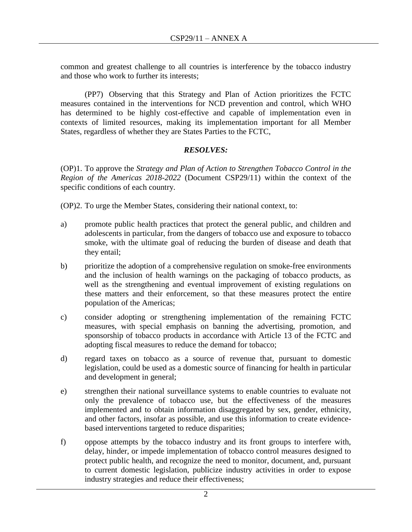common and greatest challenge to all countries is interference by the tobacco industry and those who work to further its interests;

(PP7) Observing that this Strategy and Plan of Action prioritizes the FCTC measures contained in the interventions for NCD prevention and control, which WHO has determined to be highly cost-effective and capable of implementation even in contexts of limited resources, making its implementation important for all Member States, regardless of whether they are States Parties to the FCTC,

# *RESOLVES:*

(OP)1. To approve the *Strategy and Plan of Action to Strengthen Tobacco Control in the Region of the Americas 2018-2022* (Document CSP29/11) within the context of the specific conditions of each country.

(OP)2. To urge the Member States, considering their national context, to:

- a) promote public health practices that protect the general public, and children and adolescents in particular, from the dangers of tobacco use and exposure to tobacco smoke, with the ultimate goal of reducing the burden of disease and death that they entail;
- b) prioritize the adoption of a comprehensive regulation on smoke-free environments and the inclusion of health warnings on the packaging of tobacco products, as well as the strengthening and eventual improvement of existing regulations on these matters and their enforcement, so that these measures protect the entire population of the Americas;
- c) consider adopting or strengthening implementation of the remaining FCTC measures, with special emphasis on banning the advertising, promotion, and sponsorship of tobacco products in accordance with Article 13 of the FCTC and adopting fiscal measures to reduce the demand for tobacco;
- d) regard taxes on tobacco as a source of revenue that, pursuant to domestic legislation, could be used as a domestic source of financing for health in particular and development in general;
- e) strengthen their national surveillance systems to enable countries to evaluate not only the prevalence of tobacco use, but the effectiveness of the measures implemented and to obtain information disaggregated by sex, gender, ethnicity, and other factors, insofar as possible, and use this information to create evidencebased interventions targeted to reduce disparities;
- f) oppose attempts by the tobacco industry and its front groups to interfere with, delay, hinder, or impede implementation of tobacco control measures designed to protect public health, and recognize the need to monitor, document, and, pursuant to current domestic legislation, publicize industry activities in order to expose industry strategies and reduce their effectiveness;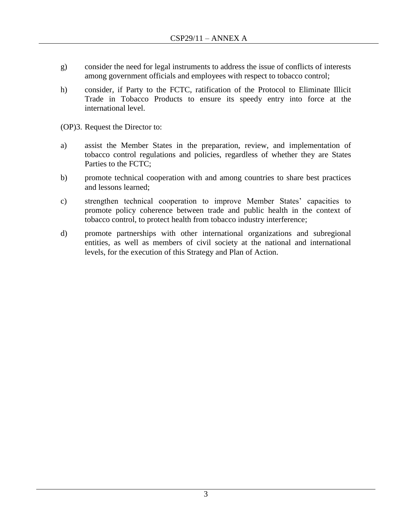- g) consider the need for legal instruments to address the issue of conflicts of interests among government officials and employees with respect to tobacco control;
- h) consider, if Party to the FCTC, ratification of the Protocol to Eliminate Illicit Trade in Tobacco Products to ensure its speedy entry into force at the international level.

(OP)3. Request the Director to:

- a) assist the Member States in the preparation, review, and implementation of tobacco control regulations and policies, regardless of whether they are States Parties to the FCTC;
- b) promote technical cooperation with and among countries to share best practices and lessons learned;
- c) strengthen technical cooperation to improve Member States' capacities to promote policy coherence between trade and public health in the context of tobacco control, to protect health from tobacco industry interference;
- d) promote partnerships with other international organizations and subregional entities, as well as members of civil society at the national and international levels, for the execution of this Strategy and Plan of Action.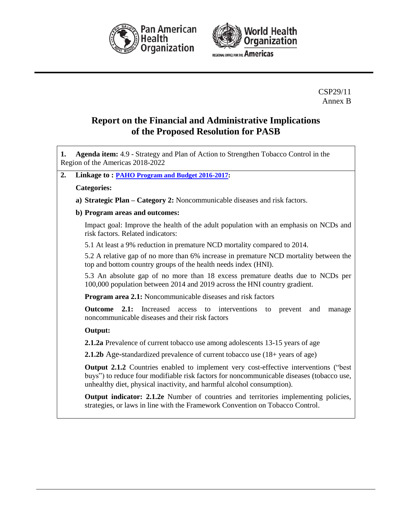



CSP29/11 Annex B

# **Report on the Financial and Administrative Implications of the Proposed Resolution for PASB**

| Agenda item: 4.9 - Strategy and Plan of Action to Strengthen Tobacco Control in the<br>1.<br>Region of the Americas 2018-2022                                                                                                                                     |  |  |
|-------------------------------------------------------------------------------------------------------------------------------------------------------------------------------------------------------------------------------------------------------------------|--|--|
| 2.<br>Linkage to: PAHO Program and Budget 2016-2017:                                                                                                                                                                                                              |  |  |
| <b>Categories:</b>                                                                                                                                                                                                                                                |  |  |
| a) Strategic Plan – Category 2: Noncommunicable diseases and risk factors.                                                                                                                                                                                        |  |  |
| b) Program areas and outcomes:                                                                                                                                                                                                                                    |  |  |
| Impact goal: Improve the health of the adult population with an emphasis on NCDs and<br>risk factors. Related indicators:                                                                                                                                         |  |  |
| 5.1 At least a 9% reduction in premature NCD mortality compared to 2014.                                                                                                                                                                                          |  |  |
| 5.2 A relative gap of no more than 6% increase in premature NCD mortality between the<br>top and bottom country groups of the health needs index (HNI).                                                                                                           |  |  |
| 5.3 An absolute gap of no more than 18 excess premature deaths due to NCDs per<br>100,000 population between 2014 and 2019 across the HNI country gradient.                                                                                                       |  |  |
| <b>Program area 2.1:</b> Noncommunicable diseases and risk factors                                                                                                                                                                                                |  |  |
| <b>Outcome</b><br>2.1:<br>Increased<br>access<br>interventions<br>to<br>prevent<br>and<br>to<br>manage<br>noncommunicable diseases and their risk factors                                                                                                         |  |  |
| Output:                                                                                                                                                                                                                                                           |  |  |
| <b>2.1.2a</b> Prevalence of current tobacco use among adolescents 13-15 years of age                                                                                                                                                                              |  |  |
| <b>2.1.2b</b> Age-standardized prevalence of current tobacco use (18+ years of age)                                                                                                                                                                               |  |  |
| <b>Output 2.1.2</b> Countries enabled to implement very cost-effective interventions ("best<br>buys") to reduce four modifiable risk factors for noncommunicable diseases (tobacco use,<br>unhealthy diet, physical inactivity, and harmful alcohol consumption). |  |  |
| Output indicator: 2.1.2e Number of countries and territories implementing policies,<br>strategies, or laws in line with the Framework Convention on Tobacco Control.                                                                                              |  |  |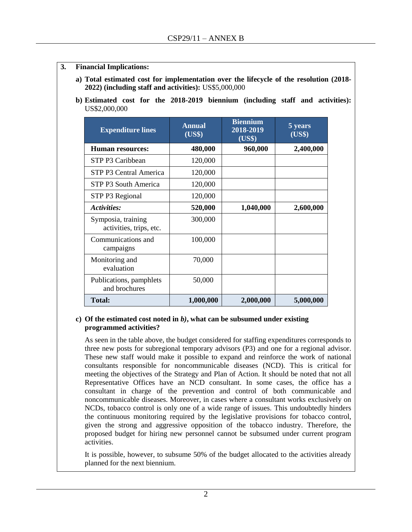- **3. Financial Implications:** 
	- **a) Total estimated cost for implementation over the lifecycle of the resolution (2018- 2022) (including staff and activities):** US\$5,000,000
	- **b) Estimated cost for the 2018-2019 biennium (including staff and activities):**  US\$2,000,000

| <b>Expenditure lines</b>                      | <b>Annual</b><br>(US\$) | <b>Biennium</b><br>2018-2019<br>(US\$) | 5 years<br>(US\$) |
|-----------------------------------------------|-------------------------|----------------------------------------|-------------------|
| <b>Human resources:</b>                       | 480,000                 | 960,000                                | 2,400,000         |
| STP P3 Caribbean                              | 120,000                 |                                        |                   |
| STP P3 Central America                        | 120,000                 |                                        |                   |
| STP P3 South America                          | 120,000                 |                                        |                   |
| STP P3 Regional                               | 120,000                 |                                        |                   |
| Activities:                                   | 520,000                 | 1,040,000                              | 2,600,000         |
| Symposia, training<br>activities, trips, etc. | 300,000                 |                                        |                   |
| Communications and<br>campaigns               | 100,000                 |                                        |                   |
| Monitoring and<br>evaluation                  | 70,000                  |                                        |                   |
| Publications, pamphlets<br>and brochures      | 50,000                  |                                        |                   |
| <b>Total:</b>                                 | 1,000,000               | 2,000,000                              | 5,000,000         |

#### **c) Of the estimated cost noted in** *b)***, what can be subsumed under existing programmed activities?**

As seen in the table above, the budget considered for staffing expenditures corresponds to three new posts for subregional temporary advisors (P3) and one for a regional advisor. These new staff would make it possible to expand and reinforce the work of national consultants responsible for noncommunicable diseases (NCD). This is critical for meeting the objectives of the Strategy and Plan of Action. It should be noted that not all Representative Offices have an NCD consultant. In some cases, the office has a consultant in charge of the prevention and control of both communicable and noncommunicable diseases. Moreover, in cases where a consultant works exclusively on NCDs, tobacco control is only one of a wide range of issues. This undoubtedly hinders the continuous monitoring required by the legislative provisions for tobacco control, given the strong and aggressive opposition of the tobacco industry. Therefore, the proposed budget for hiring new personnel cannot be subsumed under current program activities.

It is possible, however, to subsume 50% of the budget allocated to the activities already planned for the next biennium.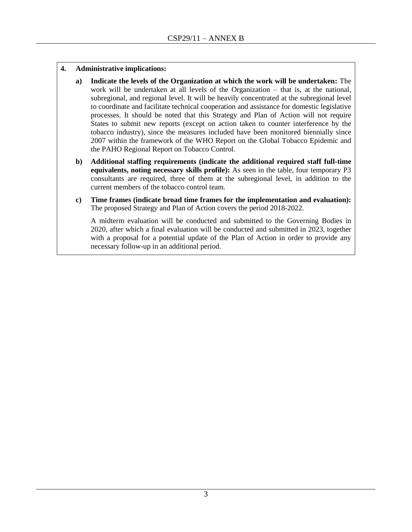#### **4. Administrative implications:**

- **a) Indicate the levels of the Organization at which the work will be undertaken:** The work will be undertaken at all levels of the Organization – that is, at the national, subregional, and regional level. It will be heavily concentrated at the subregional level to coordinate and facilitate technical cooperation and assistance for domestic legislative processes. It should be noted that this Strategy and Plan of Action will not require States to submit new reports (except on action taken to counter interference by the tobacco industry), since the measures included have been monitored biennially since 2007 within the framework of the WHO Report on the Global Tobacco Epidemic and the PAHO Regional Report on Tobacco Control.
- **b) Additional staffing requirements (indicate the additional required staff full-time equivalents, noting necessary skills profile):** As seen in the table, four temporary P3 consultants are required, three of them at the subregional level, in addition to the current members of the tobacco control team.
- **c) Time frames (indicate broad time frames for the implementation and evaluation):**  The proposed Strategy and Plan of Action covers the period 2018-2022.

A midterm evaluation will be conducted and submitted to the Governing Bodies in 2020, after which a final evaluation will be conducted and submitted in 2023, together with a proposal for a potential update of the Plan of Action in order to provide any necessary follow-up in an additional period.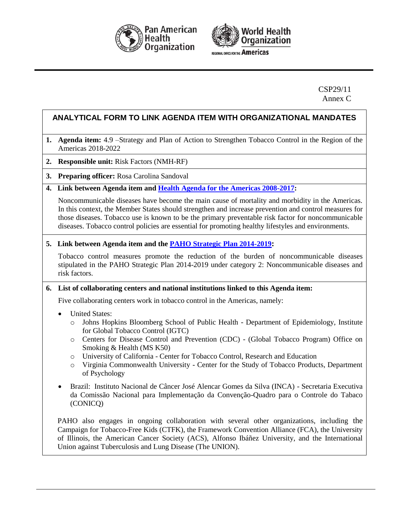



**REGIONAL OFFICE FOR THE AMERICAS** 

#### CSP29/11 Annex C

# **ANALYTICAL FORM TO LINK AGENDA ITEM WITH ORGANIZATIONAL MANDATES**

- **1. Agenda item:** 4.9 –Strategy and Plan of Action to Strengthen Tobacco Control in the Region of the Americas 2018-2022
- **2. Responsible unit:** Risk Factors (NMH-RF)
- **3. Preparing officer:** Rosa Carolina Sandoval
- **4. Link between Agenda item and [Health Agenda for the Americas 2008-2017:](http://www.paho.org/hq/index.php?option=com_docman&task=doc_download&gid=3546&Itemid=)**

Noncommunicable diseases have become the main cause of mortality and morbidity in the Americas. In this context, the Member States should strengthen and increase prevention and control measures for those diseases. Tobacco use is known to be the primary preventable risk factor for noncommunicable diseases. Tobacco control policies are essential for promoting healthy lifestyles and environments.

**5. Link between Agenda item and the [PAHO Strategic Plan 2014-2019](http://www.paho.org/hq/index.php?option=com_docman&task=doc_download&gid=27015&Itemid=270&lang=en):**

Tobacco control measures promote the reduction of the burden of noncommunicable diseases stipulated in the PAHO Strategic Plan 2014-2019 under category 2: Noncommunicable diseases and risk factors.

#### **6. List of collaborating centers and national institutions linked to this Agenda item:**

Five collaborating centers work in tobacco control in the Americas, namely:

- United States:
	- o Johns Hopkins Bloomberg School of Public Health Department of Epidemiology, Institute for Global Tobacco Control (IGTC)
	- o Centers for Disease Control and Prevention (CDC) (Global Tobacco Program) Office on Smoking & Health (MS K50)
	- o University of California Center for Tobacco Control, Research and Education
	- o Virginia Commonwealth University Center for the Study of Tobacco Products, Department of Psychology
- Brazil: Instituto Nacional de Câncer José Alencar Gomes da Silva (INCA) Secretaria Executiva da Comissão Nacional para Implementação da Convenção-Quadro para o Controle do Tabaco (CONICQ)

PAHO also engages in ongoing collaboration with several other organizations, including the Campaign for Tobacco-Free Kids (CTFK), the Framework Convention Alliance (FCA), the University of Illinois, the American Cancer Society (ACS), Alfonso Ibáñez University, and the International Union against Tuberculosis and Lung Disease (The UNION).